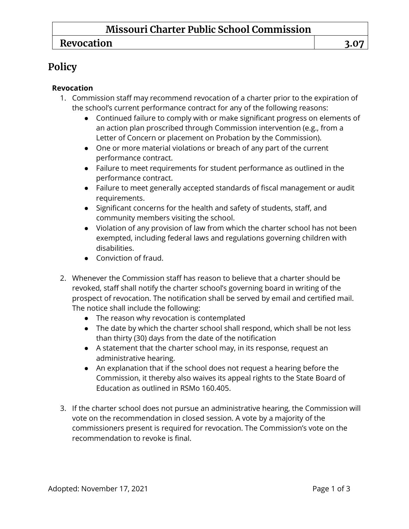## **Missouri Charter Public School Commission**

### **Revocation 3.07**

# **Policy**

#### **Revocation**

- 1. Commission staff may recommend revocation of a charter prior to the expiration of the school's current performance contract for any of the following reasons:
	- Continued failure to comply with or make significant progress on elements of an action plan proscribed through Commission intervention (e.g., from a Letter of Concern or placement on Probation by the Commission).
	- One or more material violations or breach of any part of the current performance contract.
	- Failure to meet requirements for student performance as outlined in the performance contract.
	- Failure to meet generally accepted standards of fiscal management or audit requirements.
	- Significant concerns for the health and safety of students, staff, and community members visiting the school.
	- Violation of any provision of law from which the charter school has not been exempted, including federal laws and regulations governing children with disabilities.
	- Conviction of fraud.
- 2. Whenever the Commission staff has reason to believe that a charter should be revoked, staff shall notify the charter school's governing board in writing of the prospect of revocation. The notification shall be served by email and certified mail. The notice shall include the following:
	- The reason why revocation is contemplated
	- The date by which the charter school shall respond, which shall be not less than thirty (30) days from the date of the notification
	- A statement that the charter school may, in its response, request an administrative hearing.
	- An explanation that if the school does not request a hearing before the Commission, it thereby also waives its appeal rights to the State Board of Education as outlined in RSMo 160.405.
- 3. If the charter school does not pursue an administrative hearing, the Commission will vote on the recommendation in closed session. A vote by a majority of the commissioners present is required for revocation. The Commission's vote on the recommendation to revoke is final.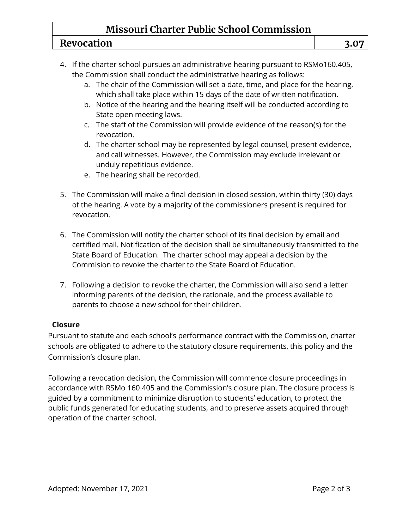## **Missouri Charter Public School Commission**

#### **Revocation 3.07**

- 4. If the charter school pursues an administrative hearing pursuant to RSMo160.405, the Commission shall conduct the administrative hearing as follows:
	- a. The chair of the Commission will set a date, time, and place for the hearing, which shall take place within 15 days of the date of written notification.
	- b. Notice of the hearing and the hearing itself will be conducted according to State open meeting laws.
	- c. The staff of the Commission will provide evidence of the reason(s) for the revocation.
	- d. The charter school may be represented by legal counsel, present evidence, and call witnesses. However, the Commission may exclude irrelevant or unduly repetitious evidence.
	- e. The hearing shall be recorded.
- 5. The Commission will make a final decision in closed session, within thirty (30) days of the hearing. A vote by a majority of the commissioners present is required for revocation.
- 6. The Commission will notify the charter school of its final decision by email and certified mail. Notification of the decision shall be simultaneously transmitted to the State Board of Education. The charter school may appeal a decision by the Commision to revoke the charter to the State Board of Education.
- 7. Following a decision to revoke the charter, the Commission will also send a letter informing parents of the decision, the rationale, and the process available to parents to choose a new school for their children.

#### **Closure**

Pursuant to statute and each school's performance contract with the Commission, charter schools are obligated to adhere to the statutory closure requirements, this policy and the Commission's closure plan.

Following a revocation decision, the Commission will commence closure proceedings in accordance with RSMo 160.405 and the Commission's closure plan. The closure process is guided by a commitment to minimize disruption to students' education, to protect the public funds generated for educating students, and to preserve assets acquired through operation of the charter school.